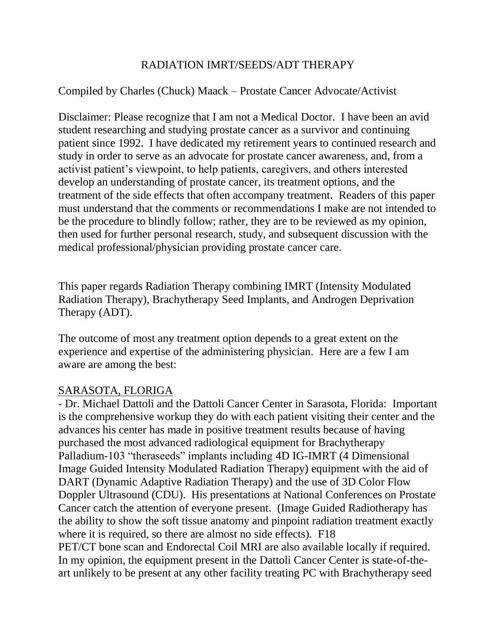# RADIATION IMRT/SEEDS/ADT THERAPY

# Compiled by Charles (Chuck) Maack – Prostate Cancer Advocate/Activist

Disclaimer: Please recognize that I am not a Medical Doctor. I have been an avid student researching and studying prostate cancer as a survivor and continuing patient since 1992. I have dedicated my retirement years to continued research and study in order to serve as an advocate for prostate cancer awareness, and, from a activist patient's viewpoint, to help patients, caregivers, and others interested develop an understanding of prostate cancer, its treatment options, and the treatment of the side effects that often accompany treatment. Readers of this paper must understand that the comments or recommendations I make are not intended to be the procedure to blindly follow; rather, they are to be reviewed as my opinion, then used for further personal research, study, and subsequent discussion with the medical professional/physician providing prostate cancer care.

This paper regards Radiation Therapy combining IMRT (Intensity Modulated Radiation Therapy), Brachytherapy Seed Implants, and Androgen Deprivation Therapy (ADT).

The outcome of most any treatment option depends to a great extent on the experience and expertise of the administering physician. Here are a few I am aware are among the best:

### SARASOTA, FLORIGA

- Dr. Michael Dattoli and the Dattoli Cancer Center in Sarasota, Florida: Important is the comprehensive workup they do with each patient visiting their center and the advances his center has made in positive treatment results because of having purchased the most advanced radiological equipment for Brachytherapy Palladium-103 "theraseeds" implants including 4D IG-IMRT (4 Dimensional Image Guided Intensity Modulated Radiation Therapy) equipment with the aid of DART (Dynamic Adaptive Radiation Therapy) and the use of 3D Color Flow Doppler Ultrasound (CDU). His presentations at National Conferences on Prostate Cancer catch the attention of everyone present. (Image Guided Radiotherapy has the ability to show the soft tissue anatomy and pinpoint radiation treatment exactly where it is required, so there are almost no side effects). F18 PET/CT bone scan and Endorectal Coil MRI are also available locally if required. In my opinion, the equipment present in the Dattoli Cancer Center is state-of-theart unlikely to be present at any other facility treating PC with Brachytherapy seed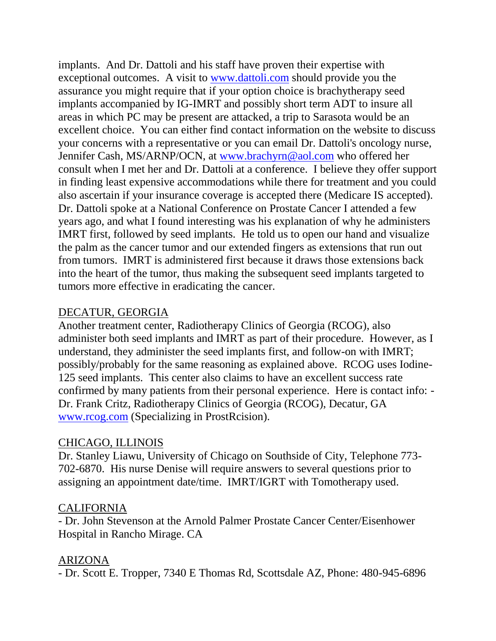implants. And Dr. Dattoli and his staff have proven their expertise with exceptional outcomes. A visit to [www.dattoli.com](http://www.dattoli.com/) should provide you the assurance you might require that if your option choice is brachytherapy seed implants accompanied by IG-IMRT and possibly short term ADT to insure all areas in which PC may be present are attacked, a trip to Sarasota would be an excellent choice. You can either find contact information on the website to discuss your concerns with a representative or you can email Dr. Dattoli's oncology nurse, Jennifer Cash, MS/ARNP/OCN, at [www.brachyrn@aol.com](http://www.brachyrn@aol.com) who offered her consult when I met her and Dr. Dattoli at a conference. I believe they offer support in finding least expensive accommodations while there for treatment and you could also ascertain if your insurance coverage is accepted there (Medicare IS accepted). Dr. Dattoli spoke at a National Conference on Prostate Cancer I attended a few years ago, and what I found interesting was his explanation of why he administers IMRT first, followed by seed implants. He told us to open our hand and visualize the palm as the cancer tumor and our extended fingers as extensions that run out from tumors. IMRT is administered first because it draws those extensions back into the heart of the tumor, thus making the subsequent seed implants targeted to tumors more effective in eradicating the cancer.

### DECATUR, GEORGIA

Another treatment center, Radiotherapy Clinics of Georgia (RCOG), also administer both seed implants and IMRT as part of their procedure. However, as I understand, they administer the seed implants first, and follow-on with IMRT; possibly/probably for the same reasoning as explained above. RCOG uses Iodine-125 seed implants. This center also claims to have an excellent success rate confirmed by many patients from their personal experience. Here is contact info: - Dr. Frank Critz, Radiotherapy Clinics of Georgia (RCOG), Decatur, GA [www.rcog.com](http://www.rcog.com/) (Specializing in ProstRcision).

### CHICAGO, ILLINOIS

Dr. Stanley Liawu, University of Chicago on Southside of City, Telephone 773- 702-6870. His nurse Denise will require answers to several questions prior to assigning an appointment date/time. IMRT/IGRT with Tomotherapy used.

#### CALIFORNIA

- Dr. John Stevenson at the Arnold Palmer Prostate Cancer Center/Eisenhower Hospital in Rancho Mirage. CA

### ARIZONA

- Dr. Scott E. Tropper, 7340 E Thomas Rd, Scottsdale AZ, Phone: 480-945-6896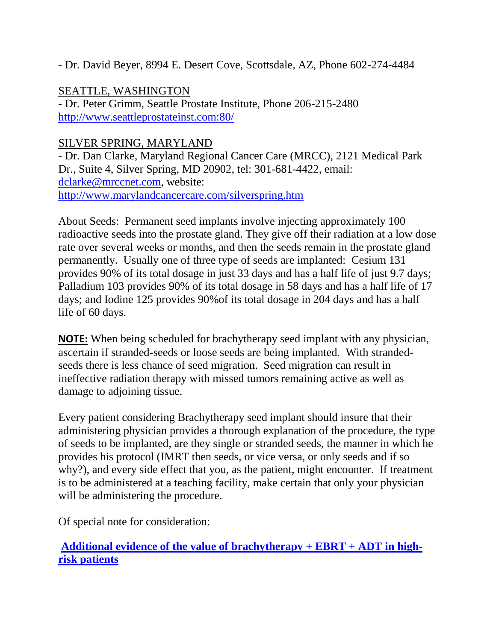- Dr. David Beyer, 8994 E. Desert Cove, Scottsdale, AZ, Phone 602-274-4484

# SEATTLE, WASHINGTON

- Dr. Peter Grimm, Seattle Prostate Institute, Phone 206-215-2480 [http://www.seattleprostateinst.com:80/](http://www.seattleprostateinst.com/)

# SILVER SPRING, MARYLAND

- Dr. Dan Clarke, Maryland Regional Cancer Care (MRCC), 2121 Medical Park Dr., Suite 4, Silver Spring, MD 20902, tel: 301-681-4422, email: [dclarke@mrccnet.com,](mailto:dclarke@mrccnet.com) website: <http://www.marylandcancercare.com/silverspring.htm>

About Seeds: Permanent seed implants involve injecting approximately 100 radioactive seeds into the prostate gland. They give off their radiation at a low dose rate over several weeks or months, and then the seeds remain in the prostate gland permanently. Usually one of three type of seeds are implanted: Cesium 131 provides 90% of its total dosage in just 33 days and has a half life of just 9.7 days; Palladium 103 provides 90% of its total dosage in 58 days and has a half life of 17 days; and Iodine 125 provides 90%of its total dosage in 204 days and has a half life of 60 days.

**NOTE:** When being scheduled for brachytherapy seed implant with any physician, ascertain if stranded-seeds or loose seeds are being implanted. With strandedseeds there is less chance of seed migration. Seed migration can result in ineffective radiation therapy with missed tumors remaining active as well as damage to adjoining tissue.

Every patient considering Brachytherapy seed implant should insure that their administering physician provides a thorough explanation of the procedure, the type of seeds to be implanted, are they single or stranded seeds, the manner in which he provides his protocol (IMRT then seeds, or vice versa, or only seeds and if so why?), and every side effect that you, as the patient, might encounter. If treatment is to be administered at a teaching facility, make certain that only your physician will be administering the procedure.

Of special note for consideration:

**[Additional evidence of the value of brachytherapy + EBRT + ADT in high](http://prostatecancerinfolink.net/2009/07/14/additional-evidence-of-the-value-of-brachytherapy-ebrt-adt-in-high-risk-patients/)risk [patients](http://prostatecancerinfolink.net/2009/07/14/additional-evidence-of-the-value-of-brachytherapy-ebrt-adt-in-high-risk-patients/)**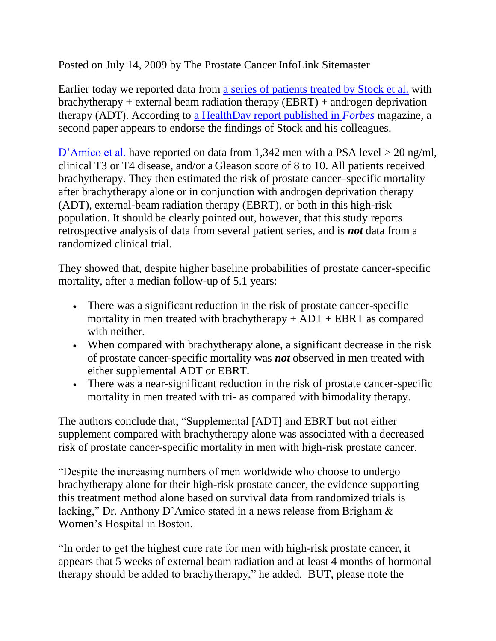Posted on July 14, 2009 by The Prostate Cancer InfoLink Sitemaster

Earlier today we reported data from [a series of patients treated by Stock et al.](http://prostatecancerinfolink.net/2009/07/14/combined-brachytherapy-ebrt-and-adt-for-high-risk-disease/) with brachytherapy + external beam radiation therapy (EBRT) + androgen deprivation therapy (ADT). According to [a HealthDay report published in](http://www.forbes.com/feeds/hscout/2009/07/13/hscout628945.html?feed=rss_forbeslife_health) *Forbes* magazine, a second paper appears to endorse the findings of Stock and his colleagues.

[D'Amico et al.](http://jco.ascopubs.org/cgi/content/abstract/JCO.2008.20.3992v1) have reported on data from 1,342 men with a PSA level > 20 ng/ml, clinical T3 or T4 disease, and/or a Gleason score of 8 to 10. All patients received brachytherapy. They then estimated the risk of prostate cancer–specific mortality after brachytherapy alone or in conjunction with androgen deprivation therapy (ADT), external-beam radiation therapy (EBRT), or both in this high-risk population. It should be clearly pointed out, however, that this study reports retrospective analysis of data from several patient series, and is *not* data from a randomized clinical trial.

They showed that, despite higher baseline probabilities of prostate cancer-specific mortality, after a median follow-up of 5.1 years:

- There was a significant reduction in the risk of prostate cancer-specific mortality in men treated with brachytherapy  $+$  ADT  $+$  EBRT as compared with neither.
- When compared with brachytherapy alone, a significant decrease in the risk of prostate cancer-specific mortality was *not* observed in men treated with either supplemental ADT or EBRT.
- There was a near-significant reduction in the risk of prostate cancer-specific mortality in men treated with tri- as compared with bimodality therapy.

The authors conclude that, "Supplemental [ADT] and EBRT but not either supplement compared with brachytherapy alone was associated with a decreased risk of prostate cancer-specific mortality in men with high-risk prostate cancer.

"Despite the increasing numbers of men worldwide who choose to undergo brachytherapy alone for their high-risk prostate cancer, the evidence supporting this treatment method alone based on survival data from randomized trials is lacking," Dr. Anthony D'Amico stated in a news release from Brigham & Women's Hospital in Boston.

"In order to get the highest cure rate for men with high-risk prostate cancer, it appears that 5 weeks of external beam radiation and at least 4 months of hormonal therapy should be added to brachytherapy," he added. BUT, please note the